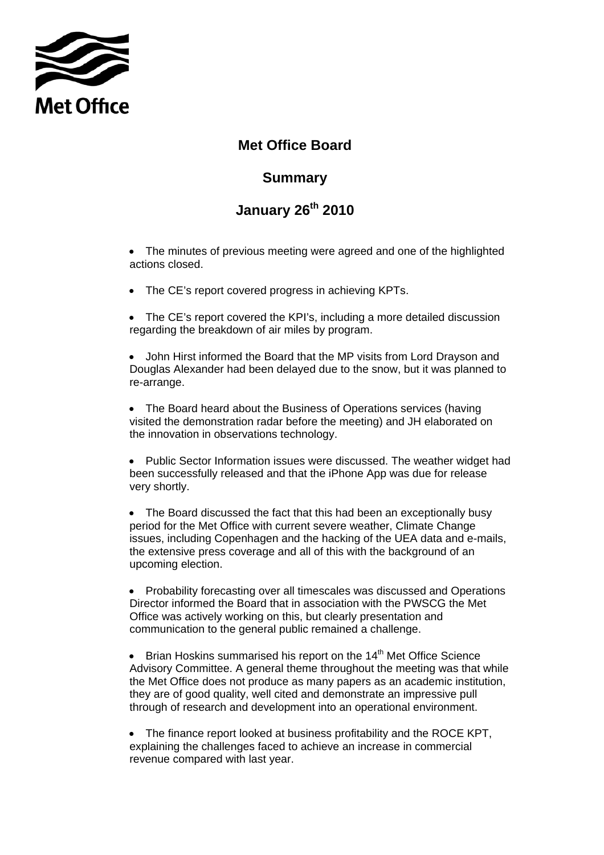

## **Met Office Board**

## **Summary**

## **January 26th 2010**

• The minutes of previous meeting were agreed and one of the highlighted actions closed.

• The CE's report covered progress in achieving KPTs.

• The CE's report covered the KPI's, including a more detailed discussion regarding the breakdown of air miles by program.

• John Hirst informed the Board that the MP visits from Lord Drayson and Douglas Alexander had been delayed due to the snow, but it was planned to re-arrange.

• The Board heard about the Business of Operations services (having visited the demonstration radar before the meeting) and JH elaborated on the innovation in observations technology.

• Public Sector Information issues were discussed. The weather widget had been successfully released and that the iPhone App was due for release very shortly.

• The Board discussed the fact that this had been an exceptionally busy period for the Met Office with current severe weather, Climate Change issues, including Copenhagen and the hacking of the UEA data and e-mails, the extensive press coverage and all of this with the background of an upcoming election.

• Probability forecasting over all timescales was discussed and Operations Director informed the Board that in association with the PWSCG the Met Office was actively working on this, but clearly presentation and communication to the general public remained a challenge.

Brian Hoskins summarised his report on the 14<sup>th</sup> Met Office Science Advisory Committee. A general theme throughout the meeting was that while the Met Office does not produce as many papers as an academic institution, they are of good quality, well cited and demonstrate an impressive pull through of research and development into an operational environment.

• The finance report looked at business profitability and the ROCE KPT, explaining the challenges faced to achieve an increase in commercial revenue compared with last year.